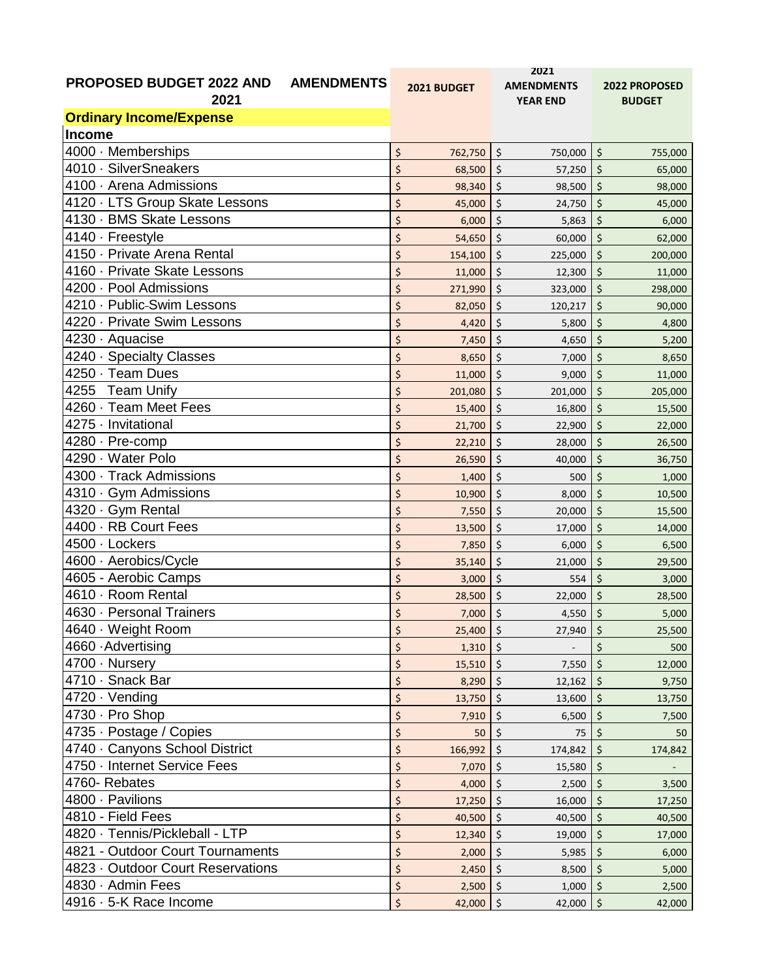|                                                      |                        | 2021                                    |               |  |
|------------------------------------------------------|------------------------|-----------------------------------------|---------------|--|
| <b>PROPOSED BUDGET 2022 AND</b><br><b>AMENDMENTS</b> | 2021 BUDGET            | <b>AMENDMENTS</b>                       | 2022 PROPOSED |  |
| 2021                                                 |                        | <b>YEAR END</b>                         | <b>BUDGET</b> |  |
| <b>Ordinary Income/Expense</b>                       |                        |                                         |               |  |
| Income                                               |                        |                                         |               |  |
| $\overline{4000} \cdot$ Memberships                  | \$                     | $\zeta$                                 | $\zeta$       |  |
|                                                      | 762,750                | 750,000                                 | 755,000       |  |
| 4010 · SilverSneakers                                | \$                     | $\varsigma$                             | \$            |  |
|                                                      | 68,500                 | 57,250                                  | 65,000        |  |
| 4100 · Arena Admissions                              | \$                     | \$                                      | \$            |  |
|                                                      | 98,340                 | 98,500                                  | 98,000        |  |
| 4120 · LTS Group Skate Lessons                       | \$                     | \$                                      | \$            |  |
|                                                      | 45,000                 | 24,750                                  | 45,000        |  |
| 4130 · BMS Skate Lessons                             | \$                     | \$                                      | \$            |  |
|                                                      | 6,000                  | 5,863                                   | 6,000         |  |
| 4140 · Freestyle                                     | \$                     | $\varsigma$                             | $\zeta$       |  |
|                                                      | 54,650                 | 60,000                                  | 62,000        |  |
| 4150 · Private Arena Rental                          | \$                     | \$                                      | \$            |  |
|                                                      | 154,100                | 225,000                                 | 200,000       |  |
| 4160 · Private Skate Lessons                         | \$                     | \$                                      | \$            |  |
|                                                      | 11,000                 | 12,300                                  | 11,000        |  |
| 4200 · Pool Admissions                               | \$                     | $\zeta$                                 | \$            |  |
|                                                      | 271,990                | 323,000                                 | 298,000       |  |
| 4210 · Public-Swim Lessons                           | \$                     | \$                                      | \$            |  |
|                                                      | 82,050                 | 120,217                                 | 90,000        |  |
| 4220 · Private Swim Lessons                          | \$                     | \$                                      | \$            |  |
|                                                      | 4,420                  | 5,800                                   | 4,800         |  |
| 4230 · Aquacise                                      | \$                     | $\zeta$                                 | \$            |  |
|                                                      | 7,450                  | 4,650                                   | 5,200         |  |
| 4240 · Specialty Classes                             | \$                     | \$                                      | \$            |  |
|                                                      | 8,650                  | 7,000                                   | 8,650         |  |
| 4250 · Team Dues                                     | \$                     | \$                                      | \$            |  |
|                                                      | 11,000                 | 9,000                                   | 11,000        |  |
| 4255 Team Unify                                      | \$                     | \$                                      | \$            |  |
|                                                      | 201,080                | 201,000                                 | 205,000       |  |
| 4260 · Team Meet Fees                                | \$                     | $\varsigma$                             | \$            |  |
|                                                      | 15,400                 | 16,800                                  | 15,500        |  |
| 4275 · Invitational                                  | \$                     | \$                                      | \$            |  |
|                                                      | 21,700                 | 22,900                                  | 22,000        |  |
| 4280 · Pre-comp                                      | \$                     | $\zeta$                                 | \$            |  |
|                                                      | 22,210                 | 28,000                                  | 26,500        |  |
| 4290 · Water Polo                                    | \$                     | $\zeta$                                 | \$            |  |
|                                                      | 26,590                 | 40,000                                  | 36,750        |  |
| 4300 · Track Admissions                              | \$                     | \$                                      | \$            |  |
|                                                      | 1,400                  | 500                                     | 1,000         |  |
| 4310 · Gym Admissions                                | \$                     | $\varsigma$                             | \$            |  |
|                                                      | 10,900                 | 8,000                                   | 10,500        |  |
| 4320 · Gym Rental                                    | \$                     | $\varsigma$                             | \$            |  |
|                                                      | 7,550                  | 20,000                                  | 15,500        |  |
| 4400 · RB Court Fees                                 | \$                     | \$                                      | \$            |  |
|                                                      | 13,500                 | 17,000                                  | 14,000        |  |
| 4500 · Lockers                                       | \$                     | \$                                      | \$            |  |
|                                                      | 7,850                  | 6,000                                   | 6,500         |  |
| 4600 · Aerobics/Cycle                                | \$                     | \$                                      | \$            |  |
|                                                      | 35,140                 | 21,000                                  | 29,500        |  |
| 4605 - Aerobic Camps                                 | \$                     | \$                                      | \$            |  |
|                                                      | 3,000                  | 554                                     | 3,000         |  |
| 4610 · Room Rental                                   | \$                     | \$                                      | \$            |  |
|                                                      | 28,500                 | 22,000                                  | 28,500        |  |
| 4630 · Personal Trainers                             | \$                     | \$                                      | \$            |  |
|                                                      | 7,000                  | 4,550                                   | 5,000         |  |
| 4640 · Weight Room                                   | \$<br>$25,400$ \$      | 27,940                                  | \$<br>25,500  |  |
| 4660 Advertising                                     | \$<br>$1,310$ \$       |                                         | Ś<br>500      |  |
| 4700 · Nursery                                       | \$                     | $\ddot{\varsigma}$                      | \$            |  |
|                                                      | 15,510                 | 7,550                                   | 12,000        |  |
| 4710 · Snack Bar                                     | \$<br>$8,290$ \$       | 12,162                                  | \$<br>9,750   |  |
| 4720 · Vending                                       | \$                     | \$                                      | \$            |  |
|                                                      | 13,750                 | 13,600                                  | 13,750        |  |
| 4730 · Pro Shop                                      | \$                     | \$                                      | \$            |  |
|                                                      | 7,910                  | 6,500                                   | 7,500         |  |
| 4735 · Postage / Copies                              | \$                     | \$                                      | \$            |  |
|                                                      | 50                     | 75                                      | 50            |  |
| 4740 · Canyons School District                       | \$                     | $\ddot{\mathsf{S}}$                     | \$            |  |
|                                                      | 166,992                | 174,842                                 | 174,842       |  |
| 4750 · Internet Service Fees                         | \$<br>7,070            | $\zeta$<br>15,580                       | \$            |  |
| 4760- Rebates                                        | \$                     | $\zeta$                                 | \$            |  |
|                                                      | 4,000                  | 2,500                                   | 3,500         |  |
| 4800 · Pavilions                                     | \$                     | $\zeta$                                 | \$            |  |
|                                                      | 17,250                 | 16,000                                  | 17,250        |  |
| 4810 - Field Fees                                    | \$                     | \$                                      | \$            |  |
| 4820 · Tennis/Pickleball - LTP                       | 40,500<br>\$<br>12,340 | 40,500<br>\$<br>19,000                  | 40,500<br>\$  |  |
| 4821 - Outdoor Court Tournaments                     | \$                     |                                         | 17,000        |  |
| 4823 · Outdoor Court Reservations                    | 2,000                  | $\boldsymbol{\dot{\varsigma}}$<br>5,985 | \$<br>6,000   |  |
|                                                      | \$                     | \$                                      | \$            |  |
|                                                      | 2,450                  | 8,500                                   | 5,000         |  |
| 4830 · Admin Fees                                    | \$                     | \$                                      | \$            |  |
|                                                      | 2,500                  | 1,000                                   | 2,500         |  |
| 4916 · 5-K Race Income                               | \$                     | $\vert \xi$                             | \$            |  |
|                                                      | 42,000                 | 42,000                                  | 42,000        |  |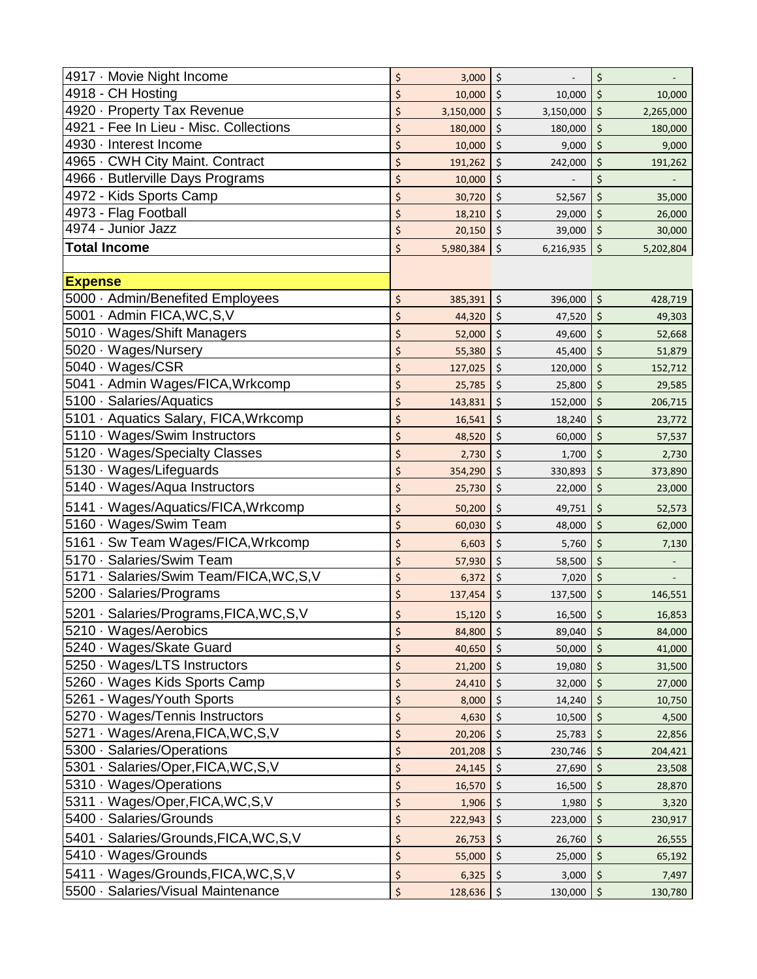| 4917 · Movie Night Income                | \$<br>3,000     | \$                | \$      |           |
|------------------------------------------|-----------------|-------------------|---------|-----------|
| 4918 - CH Hosting                        | \$<br>10,000    | \$<br>10,000      | \$      | 10,000    |
| 4920 · Property Tax Revenue              | \$<br>3,150,000 | \$<br>3,150,000   | \$      | 2,265,000 |
| 4921 - Fee In Lieu - Misc. Collections   | \$<br>180,000   | \$<br>180,000     | \$      | 180,000   |
| 4930 · Interest Income                   | \$<br>10,000    | \$<br>9,000       | \$      | 9,000     |
| 4965 · CWH City Maint. Contract          | \$<br>191,262   | \$<br>242,000     | \$      | 191,262   |
| 4966 · Butlerville Days Programs         | \$<br>10,000    | \$                | \$      |           |
| 4972 - Kids Sports Camp                  | \$<br>30,720    | \$<br>52,567      | \$      | 35,000    |
| 4973 - Flag Football                     | \$<br>18,210    | \$<br>29,000      | \$      | 26,000    |
| 4974 - Junior Jazz                       | \$<br>20,150    | \$<br>39,000      | \$      | 30,000    |
| <b>Total Income</b>                      | \$<br>5,980,384 | \$<br>6,216,935   | $\zeta$ | 5,202,804 |
|                                          |                 |                   |         |           |
| <b>Expense</b>                           |                 |                   |         |           |
| 5000 · Admin/Benefited Employees         | \$<br>385,391   | \$<br>396,000     | \$      | 428,719   |
| 5001 · Admin FICA, WC, S, V              | \$<br>44,320    | \$<br>47,520      | \$      | 49,303    |
| 5010 · Wages/Shift Managers              | \$<br>52,000    | \$<br>49,600      | \$      | 52,668    |
| 5020 · Wages/Nursery                     | \$<br>55,380    | \$<br>45,400      | \$      | 51,879    |
| 5040 · Wages/CSR                         | \$<br>127,025   | \$<br>120,000     | \$      | 152,712   |
| 5041 · Admin Wages/FICA, Wrkcomp         | \$<br>25,785    | \$<br>25,800      | \$      | 29,585    |
| 5100 · Salaries/Aquatics                 | \$<br>143,831   | \$<br>152,000     | \$      | 206,715   |
| 5101 · Aquatics Salary, FICA, Wrkcomp    | \$<br>16,541    | \$<br>18,240      | \$      | 23,772    |
| 5110 · Wages/Swim Instructors            | \$<br>48,520    | \$<br>60,000      | \$      | 57,537    |
| 5120 · Wages/Specialty Classes           | \$<br>2,730     | \$<br>1,700       | \$      | 2,730     |
| 5130 · Wages/Lifeguards                  | \$<br>354,290   | \$<br>330,893     | \$      | 373,890   |
| 5140 · Wages/Aqua Instructors            | \$<br>25,730    | \$<br>22,000      | \$      | 23,000    |
| 5141 · Wages/Aquatics/FICA, Wrkcomp      | \$<br>50,200    | \$<br>49,751      | \$      | 52,573    |
| 5160 · Wages/Swim Team                   | \$<br>60,030    | \$<br>48,000      | \$      | 62,000    |
| 5161 · Sw Team Wages/FICA, Wrkcomp       | \$<br>6,603     | \$<br>5,760       | \$      | 7,130     |
| 5170 · Salaries/Swim Team                | \$<br>57,930    | \$<br>58,500      | \$      |           |
| 5171 · Salaries/Swim Team/FICA, WC, S, V | \$<br>6,372     | \$<br>7,020       | \$      |           |
| 5200 · Salaries/Programs                 | \$<br>137,454   | \$<br>137,500     | \$      | 146,551   |
| 5201 · Salaries/Programs, FICA, WC, S, V | \$<br>15,120    | $\zeta$<br>16,500 | \$      | 16,853    |
| 5210 · Wages/Aerobics                    | \$<br>84,800    | \$<br>89,040      | \$      | 84,000    |
| 5240 · Wages/Skate Guard                 | \$<br>40,650    | \$<br>50,000      | \$      | 41,000    |
| 5250 · Wages/LTS Instructors             | \$<br>21,200    | \$<br>19,080      | \$      | 31,500    |
| 5260 · Wages Kids Sports Camp            | \$<br>24,410    | \$<br>32,000      | \$      | 27,000    |
| 5261 - Wages/Youth Sports                | \$<br>8,000     | \$<br>14,240      | \$      | 10,750    |
| 5270 · Wages/Tennis Instructors          | \$<br>4,630     | \$<br>10,500      | \$      | 4,500     |
| 5271 · Wages/Arena, FICA, WC, S, V       | \$<br>20,206    | \$<br>25,783      | \$      | 22,856    |
| 5300 · Salaries/Operations               | \$<br>201,208   | \$<br>230,746     | \$      | 204,421   |
| 5301 · Salaries/Oper, FICA, WC, S, V     | \$<br>24,145    | \$<br>27,690      | \$      | 23,508    |
| 5310 · Wages/Operations                  | \$<br>16,570    | \$<br>16,500      | \$      | 28,870    |
| 5311 · Wages/Oper, FICA, WC, S, V        | \$<br>1,906     | \$<br>1,980       | \$      | 3,320     |
| 5400 · Salaries/Grounds                  | \$<br>222,943   | \$<br>223,000     | \$      | 230,917   |
| 5401 · Salaries/Grounds, FICA, WC, S, V  | \$<br>26,753    | \$<br>26,760      | \$      | 26,555    |
| 5410 · Wages/Grounds                     | \$<br>55,000    | \$<br>25,000      | \$      | 65,192    |
| 5411 · Wages/Grounds, FICA, WC, S, V     | \$<br>6,325     | \$<br>3,000       | \$      | 7,497     |
| 5500 · Salaries/Visual Maintenance       | \$<br>128,636   | \$<br>130,000     | \$      | 130,780   |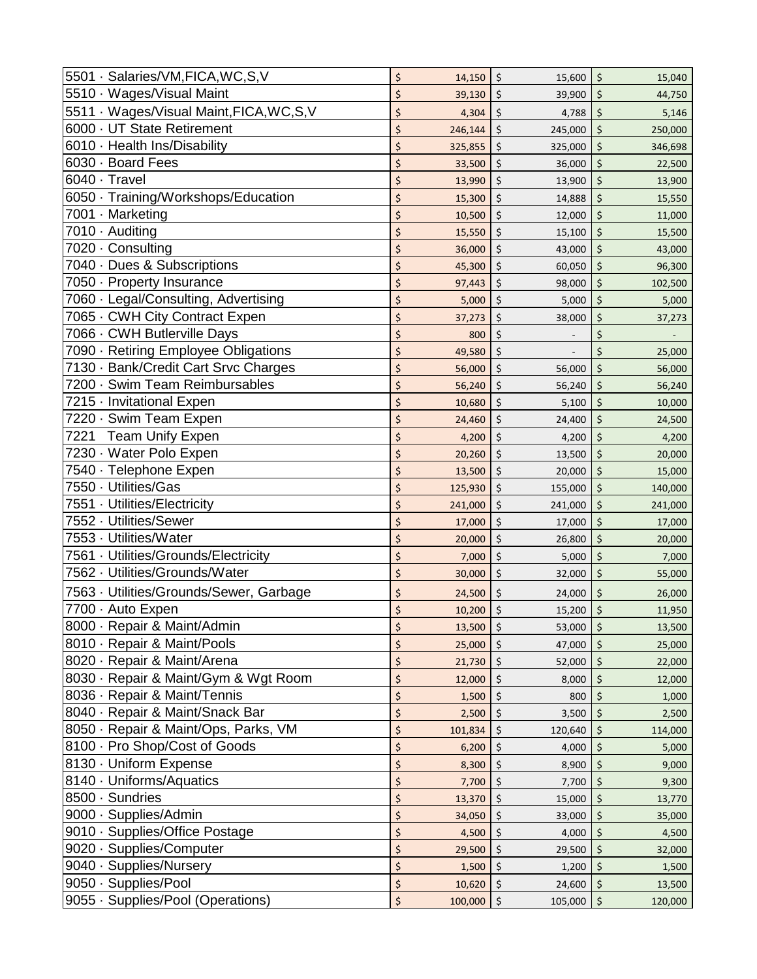| 5501 · Salaries/VM, FICA, WC, S, V        | \$           | \$         | \$           |
|-------------------------------------------|--------------|------------|--------------|
|                                           | 14,150       | 15,600     | 15,040       |
| 5510 · Wages/Visual Maint                 | \$           | \$         | \$           |
|                                           | 39,130       | 39,900     | 44,750       |
| 5511 · Wages/Visual Maint, FICA, WC, S, V | \$           | \$         | \$           |
|                                           | 4,304        | 4,788      | 5,146        |
| 6000 · UT State Retirement                | \$           | \$         | \$           |
|                                           | 246,144      | 245,000    | 250,000      |
| 6010 · Health Ins/Disability              | \$           | \$         | \$           |
|                                           | 325,855      | 325,000    | 346,698      |
| 6030 · Board Fees                         | \$           | \$         | \$           |
|                                           | 33,500       | 36,000     | 22,500       |
| 6040 · Travel                             | \$           | \$         | \$           |
|                                           | 13,990       | 13,900     | 13,900       |
| 6050 · Training/Workshops/Education       | \$           | \$         | \$           |
|                                           | 15,300       | 14,888     | 15,550       |
| 7001 · Marketing                          | \$           | \$         | \$           |
|                                           | 10,500       | 12,000     | 11,000       |
| 7010 · Auditing                           | \$           | \$         | \$           |
|                                           | 15,550       | 15,100     | 15,500       |
| 7020 · Consulting                         | \$           | \$         | \$           |
|                                           | 36,000       | 43,000     | 43,000       |
| 7040 · Dues & Subscriptions               | \$           | \$         | \$           |
|                                           | 45,300       | 60,050     | 96,300       |
| 7050 · Property Insurance                 | \$           | \$         | \$           |
|                                           | 97,443       | 98,000     | 102,500      |
| 7060 · Legal/Consulting, Advertising      | \$           | \$         | \$           |
|                                           | 5,000        | 5,000      | 5,000        |
| 7065 · CWH City Contract Expen            | \$           | \$         | \$           |
|                                           | 37,273       | 38,000     | 37,273       |
| 7066 · CWH Butlerville Days               | \$<br>800    | \$         | \$           |
| 7090 · Retiring Employee Obligations      | \$<br>49,580 | \$         | \$<br>25,000 |
| 7130 · Bank/Credit Cart Srvc Charges      | \$           | \$         | \$           |
|                                           | 56,000       | 56,000     | 56,000       |
| 7200 · Swim Team Reimbursables            | \$           | \$         | \$           |
|                                           | 56,240       | 56,240     | 56,240       |
| 7215 · Invitational Expen                 | \$           | \$         | \$           |
|                                           | 10,680       | 5,100      | 10,000       |
| 7220 · Swim Team Expen                    | \$           | \$         | \$           |
|                                           | 24,460       | 24,400     | 24,500       |
| <b>Team Unify Expen</b>                   | \$           | \$         | \$           |
| 7221                                      | 4,200        | 4,200      | 4,200        |
| 7230 · Water Polo Expen                   | \$           | \$         | \$           |
|                                           | 20,260       | 13,500     | 20,000       |
| 7540 · Telephone Expen                    | \$           | \$         | \$           |
|                                           | 13,500       | 20,000     | 15,000       |
| 7550 · Utilities/Gas                      | \$           | \$         | \$           |
|                                           | 125,930      | 155,000    | 140,000      |
| 7551 · Utilities/Electricity              | \$           | \$         | \$           |
|                                           | 241,000      | 241,000    | 241,000      |
| 7552 · Utilities/Sewer                    | \$           | \$         | \$           |
|                                           | 17,000       | 17,000     | 17,000       |
| 7553 · Utilities/Water                    | \$           | \$         | \$           |
|                                           | 20,000       | 26,800     | 20,000       |
| 7561 · Utilities/Grounds/Electricity      | \$           | \$         | \$           |
|                                           | 7,000        | 5,000      | 7,000        |
| 7562 · Utilities/Grounds/Water            | \$           | \$         | \$           |
|                                           | 30,000       | 32,000     | 55,000       |
| 7563 · Utilities/Grounds/Sewer, Garbage   | \$           | \$         | \$           |
|                                           | 24,500       | 24,000     | 26,000       |
| 7700 · Auto Expen                         | \$           | \$         | \$           |
|                                           | 10,200       | 15,200     | 11,950       |
| 8000 · Repair & Maint/Admin               | \$           | $\vert$ \$ | $\zeta$      |
|                                           | 13,500       | 53,000     | 13,500       |
| 8010 · Repair & Maint/Pools               | \$           | \$         | \$           |
|                                           | 25,000       | 47,000     | 25,000       |
| 8020 · Repair & Maint/Arena               | \$           | \$         | \$           |
|                                           | 21,730       | 52,000     | 22,000       |
| 8030 · Repair & Maint/Gym & Wgt Room      | \$           | \$         | \$           |
|                                           | 12,000       | 8,000      | 12,000       |
| 8036 · Repair & Maint/Tennis              | \$           | \$         | \$           |
|                                           | 1,500        | 800        | 1,000        |
| 8040 · Repair & Maint/Snack Bar           | \$           | \$         | \$           |
|                                           | 2,500        | 3,500      | 2,500        |
| 8050 · Repair & Maint/Ops, Parks, VM      | \$           | \$         | \$           |
|                                           | 101,834      | 120,640    | 114,000      |
| 8100 · Pro Shop/Cost of Goods             | \$           | \$         | \$           |
|                                           | 6,200        | 4,000      | 5,000        |
| 8130 · Uniform Expense                    | \$           | \$         | \$           |
|                                           | 8,300        | 8,900      | 9,000        |
| 8140 · Uniforms/Aquatics                  | \$           | \$         | \$           |
|                                           | 7,700        | 7,700      | 9,300        |
| 8500 · Sundries                           | \$           | \$         | \$           |
|                                           | 13,370       | 15,000     | 13,770       |
| 9000 · Supplies/Admin                     | \$           | \$         | \$           |
|                                           | 34,050       | 33,000     | 35,000       |
| 9010 · Supplies/Office Postage            | \$           | \$         | \$           |
|                                           | 4,500        | 4,000      | 4,500        |
| 9020 · Supplies/Computer                  | \$           | \$         | \$           |
|                                           | 29,500       | 29,500     | 32,000       |
| 9040 · Supplies/Nursery                   | \$           | \$         | \$           |
|                                           | 1,500        | 1,200      | 1,500        |
| 9050 · Supplies/Pool                      | \$           | \$         | \$           |
|                                           | 10,620       | 24,600     | 13,500       |
| 9055 · Supplies/Pool (Operations)         | \$           | \$         | \$           |
|                                           | 100,000      | 105,000    | 120,000      |